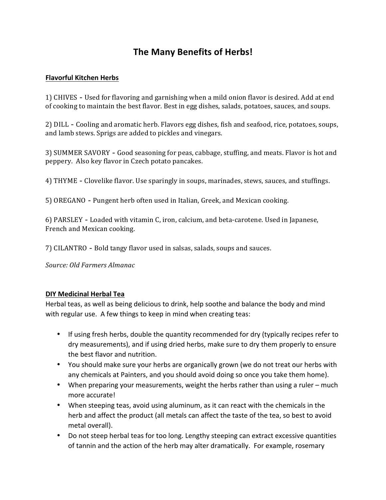# **The Many Benefits of Herbs!**

#### **Flavorful Kitchen Herbs**

1) CHIVES - Used for flavoring and garnishing when a mild onion flavor is desired. Add at end of cooking to maintain the best flavor. Best in egg dishes, salads, potatoes, sauces, and soups.

2) DILL - Cooling and aromatic herb. Flavors egg dishes, fish and seafood, rice, potatoes, soups, and lamb stews. Sprigs are added to pickles and vinegars.

3) SUMMER SAVORY - Good seasoning for peas, cabbage, stuffing, and meats. Flavor is hot and peppery. Also key flavor in Czech potato pancakes.

4) THYME - Clovelike flavor. Use sparingly in soups, marinades, stews, sauces, and stuffings.

5) OREGANO - Pungent herb often used in Italian, Greek, and Mexican cooking.

6) PARSLEY - Loaded with vitamin C, iron, calcium, and beta-carotene. Used in Japanese, French and Mexican cooking.

7) CILANTRO - Bold tangy flavor used in salsas, salads, soups and sauces.

*Source: Old Farmers Almanac*

#### **DIY Medicinal Herbal Tea**

Herbal teas, as well as being delicious to drink, help soothe and balance the body and mind with regular use. A few things to keep in mind when creating teas:

- If using fresh herbs, double the quantity recommended for dry (typically recipes refer to dry measurements), and if using dried herbs, make sure to dry them properly to ensure the best flavor and nutrition.
- You should make sure your herbs are organically grown (we do not treat our herbs with any chemicals at Painters, and you should avoid doing so once you take them home).
- When preparing your measurements, weight the herbs rather than using a ruler much more accurate!
- When steeping teas, avoid using aluminum, as it can react with the chemicals in the herb and affect the product (all metals can affect the taste of the tea, so best to avoid metal overall).
- Do not steep herbal teas for too long. Lengthy steeping can extract excessive quantities of tannin and the action of the herb may alter dramatically. For example, rosemary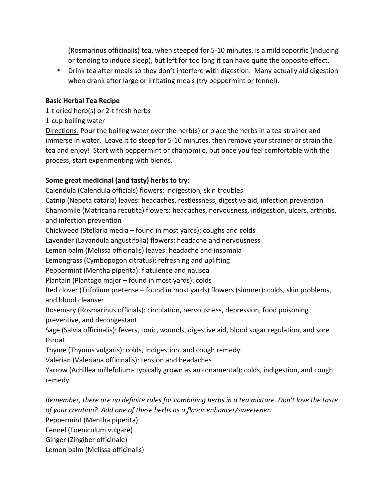(Rosmarinus officinalis) tea, when steeped for 5-10 minutes, is a mild soporific (inducing or tending to induce sleep), but left for too long it can have quite the opposite effect.

• Drink tea after meals so they don't interfere with digestion. Many actually aid digestion when drank after large or irritating meals (try peppermint or fennel).

## **Basic Herbal Tea Recipe**

1-t dried herb(s) or 2-t fresh herbs

1-cup boiling water

Directions: Pour the boiling water over the herb(s) or place the herbs in a tea strainer and immerse in water. Leave it to steep for 5-10 minutes, then remove your strainer or strain the tea and enjoy! Start with peppermint or chamomile, but once you feel comfortable with the process, start experimenting with blends.

# Some great medicinal (and tasty) herbs to try:

Calendula (Calendula officials) flowers: indigestion, skin troubles Catnip (Nepeta cataria) leaves: headaches, restlessness, digestive aid, infection prevention Chamomile (Matricaria recutita) flowers: headaches, nervousness, indigestion, ulcers, arthritis, and infection prevention

Chickweed (Stellaria media – found in most yards): coughs and colds

Lavender (Lavandula angustifolia) flowers: headache and nervousness

Lemon balm (Melissa officinalis) leaves: headache and insomnia

Lemongrass (Cymbopogon citratus): refreshing and uplifting

Peppermint (Mentha piperita): flatulence and nausea

Plantain (Plantago major  $-$  found in most yards): colds

Red clover (Trifolium pretense – found in most yards) flowers (simmer): colds, skin problems, and blood cleanser

Rosemary (Rosmarinus officials): circulation, nervousness, depression, food poisoning preventive, and decongestant

Sage (Salvia officinalis): fevers, tonic, wounds, digestive aid, blood sugar regulation, and sore throat

Thyme (Thymus vulgaris): colds, indigestion, and cough remedy

Valerian (Valeriana officinalis): tension and headaches

Yarrow (Achillea millefolium- typically grown as an ornamental): colds, indigestion, and cough remedy

*Remember, there are no definite rules for combining herbs in a tea mixture. Don't love the taste of your creation? Add one of these herbs as a flavor enhancer/sweetener:*

Peppermint (Mentha piperita)

Fennel (Foeniculum vulgare)

Ginger (Zingiber officinale)

Lemon balm (Melissa officinalis)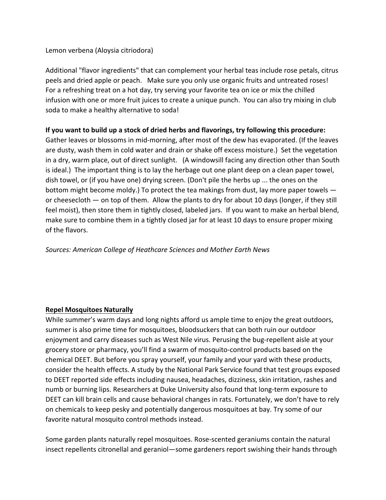Lemon verbena (Aloysia citriodora)

Additional "flavor ingredients" that can complement your herbal teas include rose petals, citrus peels and dried apple or peach. Make sure you only use organic fruits and untreated roses! For a refreshing treat on a hot day, try serving your favorite tea on ice or mix the chilled infusion with one or more fruit juices to create a unique punch. You can also try mixing in club soda to make a healthy alternative to soda!

# **If you want to build up a stock of dried herbs and flavorings, try following this procedure:**

Gather leaves or blossoms in mid-morning, after most of the dew has evaporated. (If the leaves are dusty, wash them in cold water and drain or shake off excess moisture.) Set the vegetation in a dry, warm place, out of direct sunlight. (A windowsill facing any direction other than South is ideal.) The important thing is to lay the herbage out one plant deep on a clean paper towel, dish towel, or (if you have one) drying screen. (Don't pile the herbs up ... the ones on the bottom might become moldy.) To protect the tea makings from dust, lay more paper towels or cheesecloth  $-$  on top of them. Allow the plants to dry for about 10 days (longer, if they still feel moist), then store them in tightly closed, labeled jars. If you want to make an herbal blend, make sure to combine them in a tightly closed jar for at least 10 days to ensure proper mixing of the flavors.

*Sources: American College of Heathcare Sciences and Mother Earth News*

### **Repel Mosquitoes Naturally**

While summer's warm days and long nights afford us ample time to enjoy the great outdoors, summer is also prime time for mosquitoes, bloodsuckers that can both ruin our outdoor enjoyment and carry diseases such as West Nile virus. Perusing the bug-repellent aisle at your grocery store or pharmacy, you'll find a swarm of mosquito-control products based on the chemical DEET. But before you spray yourself, your family and your yard with these products, consider the health effects. A study by the National Park Service found that test groups exposed to DEET reported side effects including nausea, headaches, dizziness, skin irritation, rashes and numb or burning lips. Researchers at Duke University also found that long-term exposure to DEET can kill brain cells and cause behavioral changes in rats. Fortunately, we don't have to rely on chemicals to keep pesky and potentially dangerous mosquitoes at bay. Try some of our favorite natural mosquito control methods instead.

Some garden plants naturally repel mosquitoes. Rose-scented geraniums contain the natural insect repellents citronellal and geraniol—some gardeners report swishing their hands through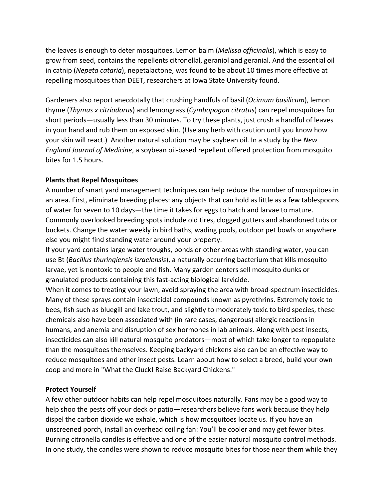the leaves is enough to deter mosquitoes. Lemon balm (*Melissa officinalis*), which is easy to grow from seed, contains the repellents citronellal, geraniol and geranial. And the essential oil in catnip (*Nepeta cataria*), nepetalactone, was found to be about 10 times more effective at repelling mosquitoes than DEET, researchers at Iowa State University found.

Gardeners also report anecdotally that crushing handfuls of basil (*Ocimum basilicum*), lemon thyme (*Thymus x citriodorus*) and lemongrass (*Cymbopogon citratus*) can repel mosquitoes for short periods—usually less than 30 minutes. To try these plants, just crush a handful of leaves in your hand and rub them on exposed skin. (Use any herb with caution until you know how your skin will react.) Another natural solution may be soybean oil. In a study by the *New England Journal of Medicine*, a soybean oil-based repellent offered protection from mosquito bites for 1.5 hours.

#### **Plants that Repel Mosquitoes**

A number of smart yard management techniques can help reduce the number of mosquitoes in an area. First, eliminate breeding places: any objects that can hold as little as a few tablespoons of water for seven to 10 days—the time it takes for eggs to hatch and larvae to mature. Commonly overlooked breeding spots include old tires, clogged gutters and abandoned tubs or buckets. Change the water weekly in bird baths, wading pools, outdoor pet bowls or anywhere else you might find standing water around your property.

If your yard contains large water troughs, ponds or other areas with standing water, you can use Bt (Bacillus thuringiensis israelensis), a naturally occurring bacterium that kills mosquito larvae, yet is nontoxic to people and fish. Many garden centers sell mosquito dunks or granulated products containing this fast-acting biological larvicide.

When it comes to treating your lawn, avoid spraying the area with broad-spectrum insecticides. Many of these sprays contain insecticidal compounds known as pyrethrins. Extremely toxic to bees, fish such as bluegill and lake trout, and slightly to moderately toxic to bird species, these chemicals also have been associated with (in rare cases, dangerous) allergic reactions in humans, and anemia and disruption of sex hormones in lab animals. Along with pest insects, insecticides can also kill natural mosquito predators—most of which take longer to repopulate than the mosquitoes themselves. Keeping backyard chickens also can be an effective way to reduce mosquitoes and other insect pests. Learn about how to select a breed, build your own coop and more in "What the Cluck! Raise Backyard Chickens."

#### **Protect Yourself**

A few other outdoor habits can help repel mosquitoes naturally. Fans may be a good way to help shoo the pests off your deck or patio—researchers believe fans work because they help dispel the carbon dioxide we exhale, which is how mosquitoes locate us. If you have an unscreened porch, install an overhead ceiling fan: You'll be cooler and may get fewer bites. Burning citronella candles is effective and one of the easier natural mosquito control methods. In one study, the candles were shown to reduce mosquito bites for those near them while they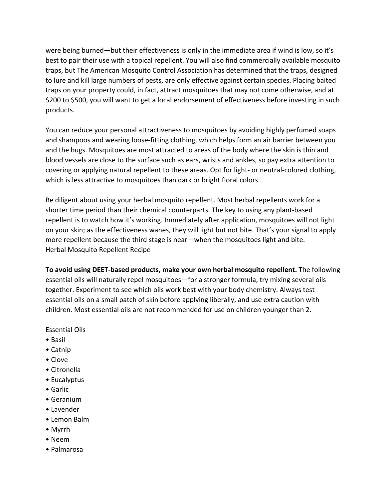were being burned—but their effectiveness is only in the immediate area if wind is low, so it's best to pair their use with a topical repellent. You will also find commercially available mosquito traps, but The American Mosquito Control Association has determined that the traps, designed to lure and kill large numbers of pests, are only effective against certain species. Placing baited traps on your property could, in fact, attract mosquitoes that may not come otherwise, and at \$200 to \$500, you will want to get a local endorsement of effectiveness before investing in such products.

You can reduce your personal attractiveness to mosquitoes by avoiding highly perfumed soaps and shampoos and wearing loose-fitting clothing, which helps form an air barrier between you and the bugs. Mosquitoes are most attracted to areas of the body where the skin is thin and blood vessels are close to the surface such as ears, wrists and ankles, so pay extra attention to covering or applying natural repellent to these areas. Opt for light- or neutral-colored clothing, which is less attractive to mosquitoes than dark or bright floral colors.

Be diligent about using your herbal mosquito repellent. Most herbal repellents work for a shorter time period than their chemical counterparts. The key to using any plant-based repellent is to watch how it's working. Immediately after application, mosquitoes will not light on your skin; as the effectiveness wanes, they will light but not bite. That's your signal to apply more repellent because the third stage is near—when the mosquitoes light and bite. Herbal Mosquito Repellent Recipe

**To avoid using DEET-based products, make your own herbal mosquito repellent.** The following essential oils will naturally repel mosquitoes—for a stronger formula, try mixing several oils together. Experiment to see which oils work best with your body chemistry. Always test essential oils on a small patch of skin before applying liberally, and use extra caution with children. Most essential oils are not recommended for use on children younger than 2.

Essential Oils

- • Basil
- Catnip
- Clove
- • Citronella
- Eucalyptus
- • Garlic
- • Geranium
- • Lavender
- Lemon Balm
- • Myrrh
- • Neem
- • Palmarosa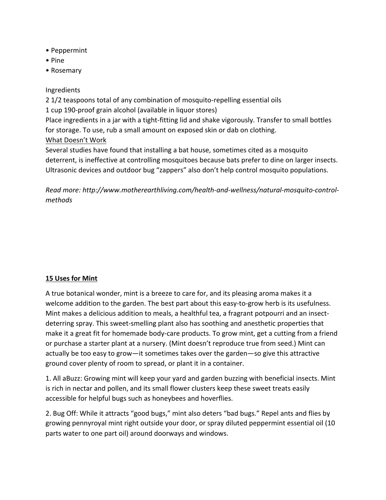- • Peppermint
- • Pine
- • Rosemary

#### Ingredients

2 1/2 teaspoons total of any combination of mosquito-repelling essential oils 1 cup 190-proof grain alcohol (available in liquor stores) Place ingredients in a jar with a tight-fitting lid and shake vigorously. Transfer to small bottles for storage. To use, rub a small amount on exposed skin or dab on clothing. What Doesn't Work Several studies have found that installing a bat house, sometimes cited as a mosquito

deterrent, is ineffective at controlling mosquitoes because bats prefer to dine on larger insects. Ultrasonic devices and outdoor bug "zappers" also don't help control mosquito populations.

Read more: http://www.motherearthliving.com/health-and-wellness/natural-mosquito-control*methods*

### **15 Uses for Mint**

A true botanical wonder, mint is a breeze to care for, and its pleasing aroma makes it a welcome addition to the garden. The best part about this easy-to-grow herb is its usefulness. Mint makes a delicious addition to meals, a healthful tea, a fragrant potpourri and an insectdeterring spray. This sweet-smelling plant also has soothing and anesthetic properties that make it a great fit for homemade body-care products. To grow mint, get a cutting from a friend or purchase a starter plant at a nursery. (Mint doesn't reproduce true from seed.) Mint can actually be too easy to grow—it sometimes takes over the garden—so give this attractive ground cover plenty of room to spread, or plant it in a container.

1. All aBuzz: Growing mint will keep your yard and garden buzzing with beneficial insects. Mint is rich in nectar and pollen, and its small flower clusters keep these sweet treats easily accessible for helpful bugs such as honeybees and hoverflies.

2. Bug Off: While it attracts "good bugs," mint also deters "bad bugs." Repel ants and flies by growing pennyroyal mint right outside your door, or spray diluted peppermint essential oil (10 parts water to one part oil) around doorways and windows.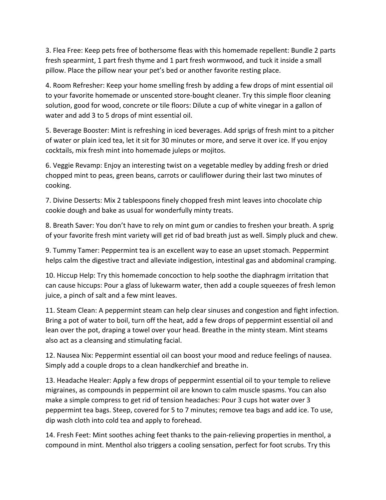3. Flea Free: Keep pets free of bothersome fleas with this homemade repellent: Bundle 2 parts fresh spearmint, 1 part fresh thyme and 1 part fresh wormwood, and tuck it inside a small pillow. Place the pillow near your pet's bed or another favorite resting place.

4. Room Refresher: Keep your home smelling fresh by adding a few drops of mint essential oil to your favorite homemade or unscented store-bought cleaner. Try this simple floor cleaning solution, good for wood, concrete or tile floors: Dilute a cup of white vinegar in a gallon of water and add 3 to 5 drops of mint essential oil.

5. Beverage Booster: Mint is refreshing in iced beverages. Add sprigs of fresh mint to a pitcher of water or plain iced tea, let it sit for 30 minutes or more, and serve it over ice. If you enjoy cocktails, mix fresh mint into homemade juleps or mojitos.

6. Veggie Revamp: Enjoy an interesting twist on a vegetable medley by adding fresh or dried chopped mint to peas, green beans, carrots or cauliflower during their last two minutes of cooking.

7. Divine Desserts: Mix 2 tablespoons finely chopped fresh mint leaves into chocolate chip cookie dough and bake as usual for wonderfully minty treats.

8. Breath Saver: You don't have to rely on mint gum or candies to freshen your breath. A sprig of your favorite fresh mint variety will get rid of bad breath just as well. Simply pluck and chew.

9. Tummy Tamer: Peppermint tea is an excellent way to ease an upset stomach. Peppermint helps calm the digestive tract and alleviate indigestion, intestinal gas and abdominal cramping.

10. Hiccup Help: Try this homemade concoction to help soothe the diaphragm irritation that can cause hiccups: Pour a glass of lukewarm water, then add a couple squeezes of fresh lemon juice, a pinch of salt and a few mint leaves.

11. Steam Clean: A peppermint steam can help clear sinuses and congestion and fight infection. Bring a pot of water to boil, turn off the heat, add a few drops of peppermint essential oil and lean over the pot, draping a towel over your head. Breathe in the minty steam. Mint steams also act as a cleansing and stimulating facial.

12. Nausea Nix: Peppermint essential oil can boost your mood and reduce feelings of nausea. Simply add a couple drops to a clean handkerchief and breathe in.

13. Headache Healer: Apply a few drops of peppermint essential oil to your temple to relieve migraines, as compounds in peppermint oil are known to calm muscle spasms. You can also make a simple compress to get rid of tension headaches: Pour 3 cups hot water over 3 peppermint tea bags. Steep, covered for 5 to 7 minutes; remove tea bags and add ice. To use, dip wash cloth into cold tea and apply to forehead.

14. Fresh Feet: Mint soothes aching feet thanks to the pain-relieving properties in menthol, a compound in mint. Menthol also triggers a cooling sensation, perfect for foot scrubs. Try this